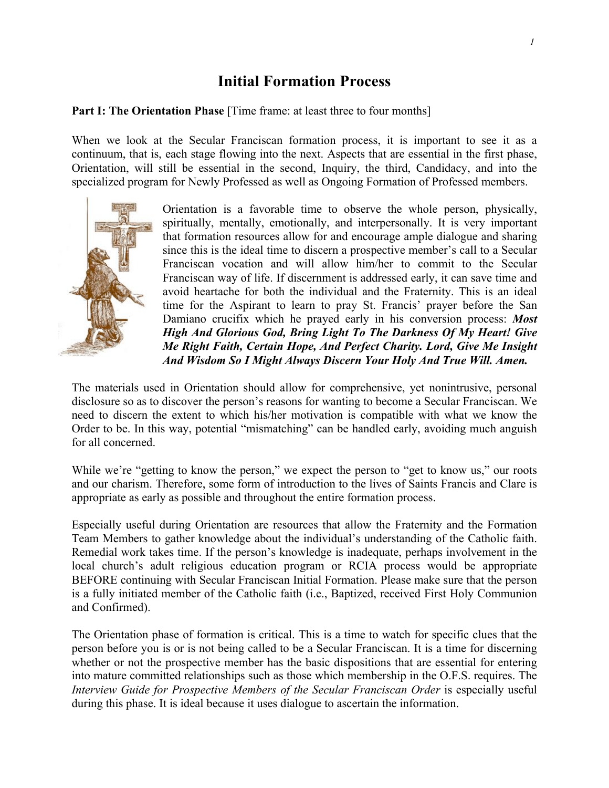## **Initial Formation Process**

## **Part I: The Orientation Phase** [Time frame: at least three to four months]

When we look at the Secular Franciscan formation process, it is important to see it as a continuum, that is, each stage flowing into the next. Aspects that are essential in the first phase, Orientation, will still be essential in the second, Inquiry, the third, Candidacy, and into the specialized program for Newly Professed as well as Ongoing Formation of Professed members.



Orientation is a favorable time to observe the whole person, physically, spiritually, mentally, emotionally, and interpersonally. It is very important that formation resources allow for and encourage ample dialogue and sharing since this is the ideal time to discern a prospective member's call to a Secular Franciscan vocation and will allow him/her to commit to the Secular Franciscan way of life. If discernment is addressed early, it can save time and avoid heartache for both the individual and the Fraternity. This is an ideal time for the Aspirant to learn to pray St. Francis' prayer before the San Damiano crucifix which he prayed early in his conversion process: *Most High And Glorious God, Bring Light To The Darkness Of My Heart! Give Me Right Faith, Certain Hope, And Perfect Charity. Lord, Give Me Insight And Wisdom So I Might Always Discern Your Holy And True Will. Amen.*

The materials used in Orientation should allow for comprehensive, yet nonintrusive, personal disclosure so as to discover the person's reasons for wanting to become a Secular Franciscan. We need to discern the extent to which his/her motivation is compatible with what we know the Order to be. In this way, potential "mismatching" can be handled early, avoiding much anguish for all concerned.

While we're "getting to know the person," we expect the person to "get to know us," our roots and our charism. Therefore, some form of introduction to the lives of Saints Francis and Clare is appropriate as early as possible and throughout the entire formation process.

Especially useful during Orientation are resources that allow the Fraternity and the Formation Team Members to gather knowledge about the individual's understanding of the Catholic faith. Remedial work takes time. If the person's knowledge is inadequate, perhaps involvement in the local church's adult religious education program or RCIA process would be appropriate BEFORE continuing with Secular Franciscan Initial Formation. Please make sure that the person is a fully initiated member of the Catholic faith (i.e., Baptized, received First Holy Communion and Confirmed).

The Orientation phase of formation is critical. This is a time to watch for specific clues that the person before you is or is not being called to be a Secular Franciscan. It is a time for discerning whether or not the prospective member has the basic dispositions that are essential for entering into mature committed relationships such as those which membership in the O.F.S. requires. The *Interview Guide for Prospective Members of the Secular Franciscan Order* is especially useful during this phase. It is ideal because it uses dialogue to ascertain the information.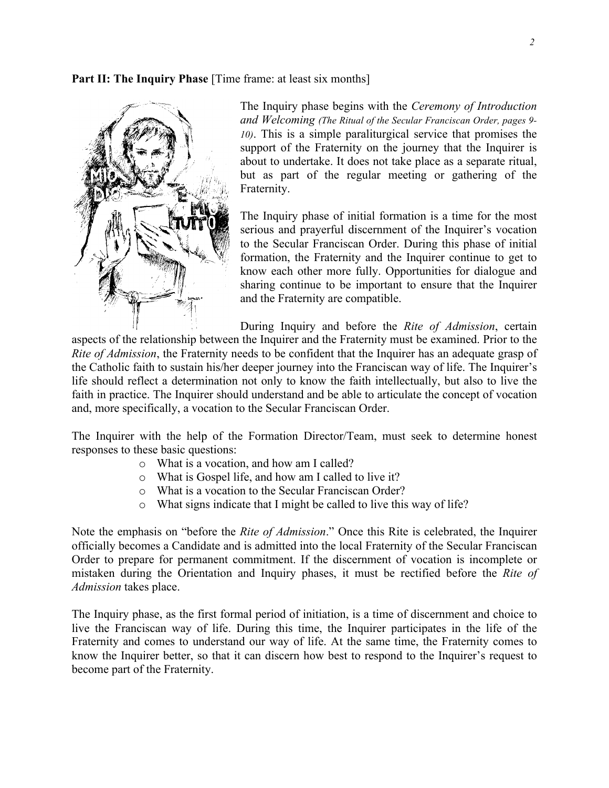**Part II: The Inquiry Phase** [Time frame: at least six months]



The Inquiry phase begins with the *Ceremony of Introduction and Welcoming (The Ritual of the Secular Franciscan Order, pages 9- 10)*. This is a simple paraliturgical service that promises the support of the Fraternity on the journey that the Inquirer is about to undertake. It does not take place as a separate ritual, but as part of the regular meeting or gathering of the Fraternity.

The Inquiry phase of initial formation is a time for the most serious and prayerful discernment of the Inquirer's vocation to the Secular Franciscan Order. During this phase of initial formation, the Fraternity and the Inquirer continue to get to know each other more fully. Opportunities for dialogue and sharing continue to be important to ensure that the Inquirer and the Fraternity are compatible.

During Inquiry and before the *Rite of Admission*, certain aspects of the relationship between the Inquirer and the Fraternity must be examined. Prior to the *Rite of Admission*, the Fraternity needs to be confident that the Inquirer has an adequate grasp of the Catholic faith to sustain his/her deeper journey into the Franciscan way of life. The Inquirer's life should reflect a determination not only to know the faith intellectually, but also to live the faith in practice. The Inquirer should understand and be able to articulate the concept of vocation and, more specifically, a vocation to the Secular Franciscan Order.

The Inquirer with the help of the Formation Director/Team, must seek to determine honest responses to these basic questions:

- o What is a vocation, and how am I called?
- o What is Gospel life, and how am I called to live it?
- o What is a vocation to the Secular Franciscan Order?
- o What signs indicate that I might be called to live this way of life?

Note the emphasis on "before the *Rite of Admission*." Once this Rite is celebrated, the Inquirer officially becomes a Candidate and is admitted into the local Fraternity of the Secular Franciscan Order to prepare for permanent commitment. If the discernment of vocation is incomplete or mistaken during the Orientation and Inquiry phases, it must be rectified before the *Rite of Admission* takes place.

The Inquiry phase, as the first formal period of initiation, is a time of discernment and choice to live the Franciscan way of life. During this time, the Inquirer participates in the life of the Fraternity and comes to understand our way of life. At the same time, the Fraternity comes to know the Inquirer better, so that it can discern how best to respond to the Inquirer's request to become part of the Fraternity.